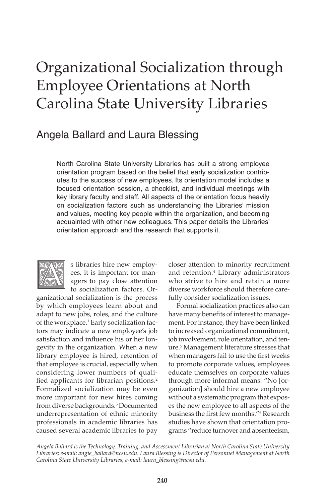# Organizational Socialization through Employee Orientations at North Carolina State University Libraries

# Angela Ballard and Laura Blessing

 on socialization factors such as understanding the Libraries' mission North Carolina State University Libraries has built a strong employee orientation program based on the belief that early socialization contributes to the success of new employees. Its orientation model includes a focused orientation session, a checklist, and individual meetings with key library faculty and staff. All aspects of the orientation focus heavily and values, meeting key people within the organization, and becoming acquainted with other new colleagues. This paper details the Libraries' orientation approach and the research that supports it.



agers to pay close attention to socialization factors. Ors libraries hire new employees, it is important for man-

 by which employees learn about and library employee is hired, retention of considering lower numbers of qualified applicants for librarian positions.<sup>2</sup> Formalized socialization may be even more important for new hires coming from diverse backgrounds.3 Documented underrepresentation of ethnic minority professionals in academic libraries has ganizational socialization is the process adapt to new jobs, roles, and the culture of the workplace.<sup>1</sup> Early socialization factors may indicate a new employee's job satisfaction and influence his or her longevity in the organization. When a new that employee is crucial, especially when caused several academic libraries to pay

 and retention.4 Library administrators who strive to hire and retain a more closer attention to minority recruitment diverse workforce should therefore carefully consider socialization issues.

 have many benefits of interest to manage- ment. For instance, they have been linked to increased organizational commitment, job involvement, role orientation, and ten- without a systematic program that expos- grams "reduce turnover and absenteeism, Formal socialization practices also can ure.5 Management literature stresses that when managers fail to use the first weeks to promote corporate values, employees educate themselves on corporate values through more informal means. "No [organization] should hire a new employee es the new employee to all aspects of the business the first few months."6 Research studies have shown that orientation pro-

*Angela Ballard is the Technology, Training, and Assessment Librarian at North Carolina State University Libraries; e-mail: angie\_ballard@ncsu.edu. Laura Blessing is Director of Personnel Management at North Carolina State University Libraries; e-mail: laura\_blessing@ncsu.edu.*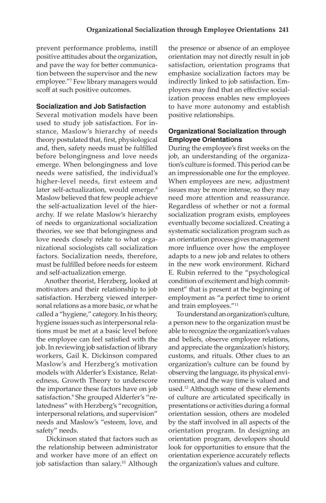prevent performance problems, instill positive attitudes about the organization, employee."7 Few library managers would and pave the way for better communication between the supervisor and the new scoff at such positive outcomes.

#### **Socialization and Job Satisfaction**

 Several motivation models have been used to study job satisfaction. For in- stance, Maslow's hierarchy of needs theory postulated that, first, physiological before belongingness and love needs emerge. When belongingness and love needs were satisfied, the individual's higher-level needs, first esteem and later self-actualization, would emerge.<sup>8</sup> Maslow believed that few people achieve the self-actualization level of the hier- archy. If we relate Maslow's hierarchy of needs to organizational socialization love needs closely relate to what orga- nizational sociologists call socialization factors. Socialization needs, therefore, and, then, safety needs must be fulfilled theories, we see that belongingness and must be fulfilled before needs for esteem and self-actualization emerge.

 satisfaction. Herzberg viewed interper- sonal relations as a more basic, or what he called a "hygiene," category. In his theory, hygiene issues such as interpersonal rela- job. In reviewing job satisfaction of library workers, Gail K. Dickinson compared Maslow's and Herzberg's motivation edness, Growth Theory to underscore interpersonal relations, and supervision" Another theorist, Herzberg, looked at motivators and their relationship to job tions must be met at a basic level before the employee can feel satisfied with the models with Alderfer's Existance, Relatthe importance these factors have on job satisfaction.<sup>9</sup> She grouped Alderfer's "relatedness" with Herzberg's "recognition, needs and Maslow's "esteem, love, and safety" needs.

 the relationship between administrator and worker have more of an effect on job satisfaction than salary.<sup>10</sup> Although Dickinson stated that factors such as

 satisfaction, orientation programs that emphasize socialization factors may be ization process enables new employees to have more autonomy and establish the presence or absence of an employee orientation may not directly result in job indirectly linked to job satisfaction. Employers may find that an effective socialpositive relationships.

# **Organizational Socialization through Employee Orientations**

 job, an understanding of the organiza- tion's culture is formed. This period can be When employees are new, adjustment need more attention and reassurance. Regardless of whether or not a formal an orientation process gives management in the new work environment. Richard E. Rubin referred to the "psychological condition of excitement and high commit-During the employee's first weeks on the an impressionable one for the employee. issues may be more intense, so they may socialization program exists, employees eventually become socialized. Creating a systematic socialization program such as more influence over how the employee adapts to a new job and relates to others ment" that is present at the beginning of employment as "a perfect time to orient and train employees."11

 Tounderstand an organization's culture, a person new to the organization must be able to recognize the organization's values and beliefs, observe employee relations, and appreciate the organization's history, customs, and rituals. Other clues to an organization's culture can be found by observing the language, its physical envi- ronment, and the way time is valued and used.<sup>12</sup> Although some of these elements of culture are articulated specifically in presentations or activities during a formal orientation session, others are modeled by the staff involved in all aspects of the orientation program. In designing an orientation program, developers should look for opportunities to ensure that the the organization's values and culture. orientation experience accurately reflects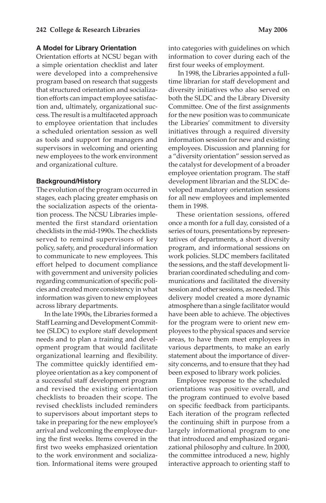#### **A Model for Library Orientation**

 a simple orientation checklist and later were developed into a comprehensive tion efforts can impact employee satisfac- cess. The result is a multifaceted approach to employee orientation that includes a scheduled orientation session as well as tools and support for managers and Orientation efforts at NCSU began with program based on research that suggests that structured orientation and socialization and, ultimately, organizational sucsupervisors in welcoming and orienting new employees to the work environment and organizational culture.

#### **Background/History**

 The evolution of the program occurred in the socialization aspects of the orienta- mented the first standard orientation checklists in the mid-1990s. The checklists served to remind supervisors of key policy, safety, and procedural information effort helped to document compliance regarding communication of specific poli- cies and created more consistency in what information was given to new employees stages, each placing greater emphasis on tion process. The NCSU Libraries impleto communicate to new employees. This with government and university policies across library departments.

 In the late 1990s, the Libraries formed a Staff Learning and Development Commit- opment program that would facilitate organizational learning and flexibility. The committee quickly identified em- and revised the existing orientation checklists to broaden their scope. The revised checklists included reminders arrival and welcoming the employee durtee (SLDC) to explore staff development needs and to plan a training and develployee orientation as a key component of a successful staff development program to supervisors about important steps to take in preparing for the new employee's ing the first weeks. Items covered in the first two weeks emphasized orientation to the work environment and socialization. Informational items were grouped

into categories with guidelines on which information to cover during each of the first four weeks of employment.

 In 1998, the Libraries appointed a full- the Libraries' commitment to diversity initiatives through a required diversity a "diversity orientation" session served as time librarian for staff development and diversity initiatives who also served on both the SLDC and the Library Diversity Committee. One of the first assignments for the new position was to communicate information session for new and existing employees. Discussion and planning for the catalyst for development of a broader employee orientation program. The staff development librarian and the SLDC developed mandatory orientation sessions for all new employees and implemented them in 1998.

 These orientation sessions, offered once a month for a full day, consisted of a series of tours, presentations by represen- tatives of departments, a short diversity program, and informational sessions on the sessions, and the staff development li- brarian coordinated scheduling and com- munications and facilitated the diversity session and other sessions, as needed. This delivery model created a more dynamic atmosphere than a single facilitator would have been able to achieve. The objectives for the program were to orient new em- ployees to the physical spaces and service areas, to have them meet employees in various departments, to make an early statement about the importance of diver- sity concerns, and to ensure that they had been exposed to library work policies. work policies. SLDC members facilitated

 Employee response to the scheduled orientations was positive overall, and on specific feedback from participants. Each iteration of the program reflected the continuing shift in purpose from a largely informational program to one the program continued to evolve based that introduced and emphasized organizational philosophy and culture. In 2000, the committee introduced a new, highly interactive approach to orienting staff to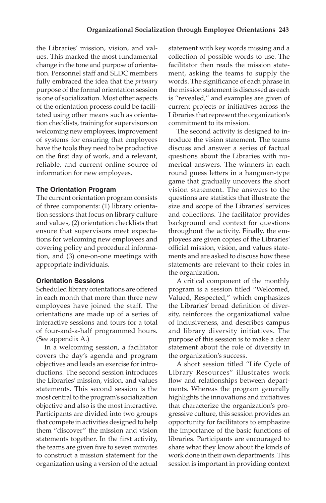the Libraries' mission, vision, and val- change in the tone and purpose of orienta- tion checklists, training for supervisors on welcoming new employees, improvement reliable, and current online source of ues. This marked the most fundamental tion. Personnel staff and SLDC members fully embraced the idea that the *primary*  purpose of the formal orientation session is one of socialization. Most other aspects of the orientation process could be facilitated using other means such as orientaof systems for ensuring that employees have the tools they need to be productive on the first day of work, and a relevant, information for new employees.

#### **The Orientation Program**

 ensure that supervisors meet expecta- tion, and (3) one-on-one meetings with The current orientation program consists of three components: (1) library orientation sessions that focus on library culture and values, (2) orientation checklists that tions for welcoming new employees and covering policy and procedural informaappropriate individuals.

#### **Orientation Sessions**

 Scheduled library orientations are offered employees have joined the staff. The orientations are made up of a series of in each month that more than three new interactive sessions and tours for a total of four-and-a-half programmed hours. (See appendix A.)

 In a welcoming session, a facilitator covers the day's agenda and program statements. This second session is the most central to the program's socialization that compete in activities designed to help organization using a version of the actual objectives and leads an exercise for introductions. The second session introduces the Libraries' mission, vision, and values objective and also is the most interactive. Participants are divided into two groups them "discover" the mission and vision statements together. In the first activity, the teams are given five to seven minutes to construct a mission statement for the

 facilitator then reads the mission state- ment, asking the teams to supply the the mission statement is discussed as each Libraries that represent the organization's statement with key words missing and a collection of possible words to use. The words. The significance of each phrase in is "revealed," and examples are given of current projects or initiatives across the commitment to its mission.

 discuss and answer a series of factual questions about the Libraries with nu- merical answers. The winners in each round guess letters in a hangman-type vision statement. The answers to the background and context for questions ments and are asked to discuss how these The second activity is designed to introduce the vision statement. The teams game that gradually uncovers the short questions are statistics that illustrate the size and scope of the Libraries' services and collections. The facilitator provides throughout the activity. Finally, the employees are given copies of the Libraries' official mission, vision, and values statestatements are relevant to their roles in the organization.

 A critical component of the monthly Valued, Respected," which emphasizes the Libraries' broad definition of diver- sity, reinforces the organizational value of inclusiveness, and describes campus and library diversity initiatives. The program is a session titled "Welcomed, purpose of this session is to make a clear statement about the role of diversity in the organization's success.

 A short session titled "Life Cycle of ments. Whereas the program generally work done in their own departments. This Library Resources" illustrates work flow and relationships between departhighlights the innovations and initiatives that characterize the organization's progressive culture, this session provides an opportunity for facilitators to emphasize the importance of the basic functions of libraries. Participants are encouraged to share what they know about the kinds of session is important in providing context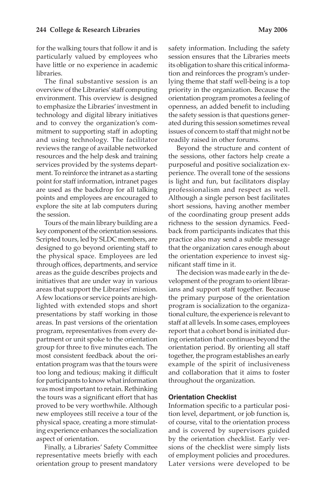particularly valued by employees who for the walking tours that follow it and is have little or no experience in academic libraries.

 The final substantive session is an overview of the Libraries'staff computing environment. This overview is designed to emphasize the Libraries' investment in technology and digital library initiatives and to convey the organization's com- mitment to supporting staff in adopting and using technology. The facilitator reviews the range of available networked resources and the help desk and training services provided by the systems depart- ment. To reinforce the intranet as a starting point for staff information, intranet pages are used as the backdrop for all talking points and employees are encouraged to explore the site at lab computers during the session.

 Tours of the main library building are a key component of the orientation sessions. Scripted tours, led by SLDC members, are the physical space. Employees are led through offices, departments, and service A few locations or service points are high- lighted with extended stops and short presentations by staff working in those entation program was that the tours were for participants to know what information was most important to retain. Rethinking ing experience enhances the socialization designed to go beyond orienting staff to areas as the guide describes projects and initiatives that are under way in various areas that support the Libraries' mission. areas. In past versions of the orientation program, representatives from every department or unit spoke to the orientation group for three to five minutes each. The most consistent feedback about the oritoo long and tedious; making it difficult the tours was a significant effort that has proved to be very worthwhile. Although new employees still receive a tour of the physical space, creating a more stimulataspect of orientation.

 representative meets briefly with each Finally, a Libraries' Safety Committee orientation group to present mandatory

 its obligation to share this critical informa- orientation program promotes a feeling of ated during this session sometimes reveal issues of concern to staff that might not be safety information. Including the safety session ensures that the Libraries meets tion and reinforces the program's underlying theme that staff well-being is a top priority in the organization. Because the openness, an added benefit to including the safety session is that questions generreadily raised in other forums.

 Beyond the structure and content of professionalism and respect as well. short sessions, having another member the sessions, other factors help create a purposeful and positive socialization experience. The overall tone of the sessions is light and fun, but facilitators display Although a single person best facilitates of the coordinating group present adds richness to the session dynamics. Feedback from participants indicates that this practice also may send a subtle message that the organization cares enough about the orientation experience to invest significant staff time in it.

 The decision was made early in the de- velopment of the program to orient librar- the primary purpose of the orientation tional culture, the experience is relevant to staff at all levels. In some cases, employees ing orientation that continues beyond the together, the program establishes an early example of the spirit of inclusiveness and collaboration that it aims to foster ians and support staff together. Because program is socialization to the organizareport that a cohort bond is initiated durorientation period. By orienting all staff throughout the organization.

#### **Orientation Checklist**

 and is covered by supervisors guided by the orientation checklist. Early ver- sions of the checklist were simply lists Later versions were developed to be Information specific to a particular position level, department, or job function is, of course, vital to the orientation process of employment policies and procedures.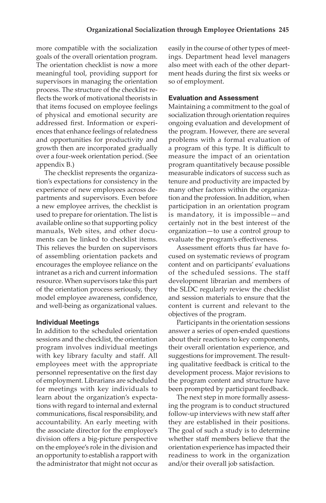more compatible with the socialization meaningful tool, providing support for flects the work of motivational theorists in of physical and emotional security are addressed first. Information or experi- ences that enhance feelings of relatedness and opportunities for productivity and goals of the overall orientation program. The orientation checklist is now a more supervisors in managing the orientation process. The structure of the checklist rethat items focused on employee feelings growth then are incorporated gradually over a four-week orientation period. (See appendix B.)

 available online so that supporting policy manuals, Web sites, and other docu- ments can be linked to checklist items. of assembling orientation packets and intranet as a rich and current information resource. When supervisors take this part The checklist represents the organization's expectations for consistency in the experience of new employees across departments and supervisors. Even before a new employee arrives, the checklist is used to prepare for orientation. The list is This relieves the burden on supervisors encourages the employee reliance on the of the orientation process seriously, they model employee awareness, confidence, and well-being as organizational values.

#### **Individual Meetings**

 sessions and the checklist, the orientation program involves individual meetings with key library faculty and staff. All employees meet with the appropriate of employment. Librarians are scheduled for meetings with key individuals to learn about the organization's expecta- communications, fiscal responsibility, and accountability. An early meeting with on the employee's role in the division and an opportunity to establish a rapport with In addition to the scheduled orientation personnel representative on the first day tions with regard to internal and external the associate director for the employee's division offers a big-picture perspective the administrator that might not occur as

 easily in the course of other types of meet- ings. Department head level managers also meet with each of the other department heads during the first six weeks or so of employment.

#### **Evaluation and Assessment**

 socialization through orientation requires problems with a formal evaluation of a program of this type. It is difficult to measure the impact of an orientation tion and the profession. In addition, when is mandatory, it is impossible—and certainly not in the best interest of the Maintaining a commitment to the goal of ongoing evaluation and development of the program. However, there are several program quantitatively because possible measurable indicators of success such as tenure and productivity are impacted by many other factors within the organizaparticipation in an orientation program organization—to use a control group to evaluate the program's effectiveness.

 Assessment efforts thus far have fo- of the scheduled sessions. The staff development librarian and members of content is current and relevant to the cused on systematic reviews of program content and on participants' evaluations the SLDC regularly review the checklist and session materials to ensure that the objectives of the program.

 Participants in the orientation sessions suggestions for improvement. The resultanswer a series of open-ended questions about their reactions to key components, their overall orientation experience, and ing qualitative feedback is critical to the development process. Major revisions to the program content and structure have been prompted by participant feedback.

 they are established in their positions. whether staff members believe that the orientation experience has impacted their readiness to work in the organization The next step in more formally assessing the program is to conduct structured follow-up interviews with new staff after The goal of such a study is to determine and/or their overall job satisfaction.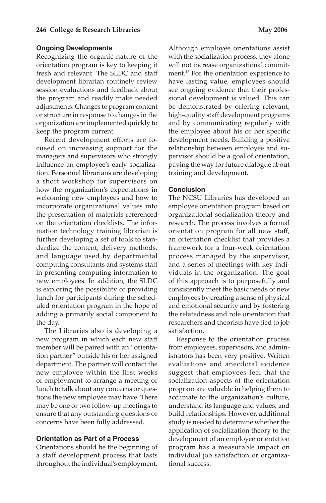#### **Ongoing Developments**

 Recognizing the organic nature of the the program and readily make needed adjustments. Changes to program content orientation program is key to keeping it fresh and relevant. The SLDC and staff development librarian routinely review session evaluations and feedback about or structure in response to changes in the organization are implemented quickly to keep the program current.

 Recent development efforts are fo- cused on increasing support for the a short workshop for supervisors on how the organization's expectations in incorporate organizational values into mation technology training librarian is dardize the content, delivery methods, and language used by departmental new employees. In addition, the SLDC managers and supervisors who strongly influence an employee's early socialization. Personnel librarians are developing welcoming new employees and how to the presentation of materials referenced on the orientation checklists. The inforfurther developing a set of tools to stancomputing consultants and systems staff in presenting computing information to is exploring the possibility of providing lunch for participants during the scheduled orientation program in the hope of adding a primarily social component to the day.

 The Libraries also is developing a new program in which each new staff new employee within the first weeks member will be paired with an "orientation partner" outside his or her assigned department. The partner will contact the of employment to arrange a meeting or lunch to talk about any concerns or questions the new employee may have. There may be one or two follow-up meetings to ensure that any outstanding questions or concerns have been fully addressed.

#### **Orientation as Part of a Process**

 a staff development process that lasts throughout the individual's employment. Orientations should be the beginning of

 Although employee orientations assist have lasting value, employees should see ongoing evidence that their profes- sional development is valued. This can be demonstrated by offering relevant, high-quality staff development programs and by communicating regularly with the employee about his or her specific paving the way for future dialogue about with the socialization process, they alone will not increase organizational commitment.13 For the orientation experience to development needs. Building a positive relationship between employee and supervisor should be a goal of orientation, training and development.

#### **Conclusion**

 The NCSU Libraries has developed an employee orientation program based on organizational socialization theory and research. The process involves a formal orientation program for all new staff, an orientation checklist that provides a framework for a four-week orientation process managed by the supervisor, and a series of meetings with key indi- viduals in the organization. The goal of this approach is to purposefully and consistently meet the basic needs of new employees by creating a sense of physical and emotional security and by fostering the relatedness and role orientation that researchers and theorists have tied to job satisfaction.

 Response to the orientation process from employees, supervisors, and admin- evaluations and anecdotal evidence suggest that employees feel that the socialization aspects of the orientation acclimate to the organization's culture, study is needed to determine whether the program has a measurable impact on individual job satisfaction or organizaistrators has been very positive. Written program are valuable in helping them to understand its language and values, and build relationships. However, additional application of socialization theory to the development of an employee orientation tional success.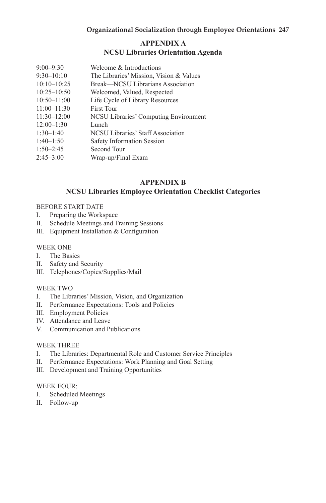# **APPENDIX A NCSU Libraries Orientation Agenda**

| $9:00 - 9:30$   | Welcome & Introductions                      |
|-----------------|----------------------------------------------|
| $9:30 - 10:10$  | The Libraries' Mission, Vision & Values      |
| $10:10 - 10:25$ | Break—NCSU Librarians Association            |
| $10:25 - 10:50$ | Welcomed, Valued, Respected                  |
| $10:50 - 11:00$ | Life Cycle of Library Resources              |
| $11:00 - 11:30$ | <b>First Tour</b>                            |
| $11:30 - 12:00$ | <b>NCSU Libraries' Computing Environment</b> |
| $12:00-1:30$    | Lunch                                        |
| $1:30-1:40$     | <b>NCSU Libraries' Staff Association</b>     |
| $1:40-1:50$     | Safety Information Session                   |
| $1:50 - 2:45$   | Second Tour                                  |
| $2:45 - 3:00$   | Wrap-up/Final Exam                           |

# **APPENDIX B**

# **NCSU Libraries Employee Orientation Checklist Categories**

#### BEFORE START DATE

- I. Preparing the Workspace
- II. Schedule Meetings and Training Sessions
- III. Equipment Installation & Configuration

### WEEK ONE

- I. The Basics
- II. Safety and Security
- III. Telephones/Copies/Supplies/Mail

#### WEEK TWO

- I. The Libraries' Mission, Vision, and Organization
- II. Performance Expectations: Tools and Policies
- III. Employment Policies
- IV. Attendance and Leave
- V. Communication and Publications

# WEEK THREE

- I. The Libraries: Departmental Role and Customer Service Principles
- II. Performance Expectations: Work Planning and Goal Setting
- III. Development and Training Opportunities

#### WEEK FOUR:

- I. Scheduled Meetings
- II. Follow-up